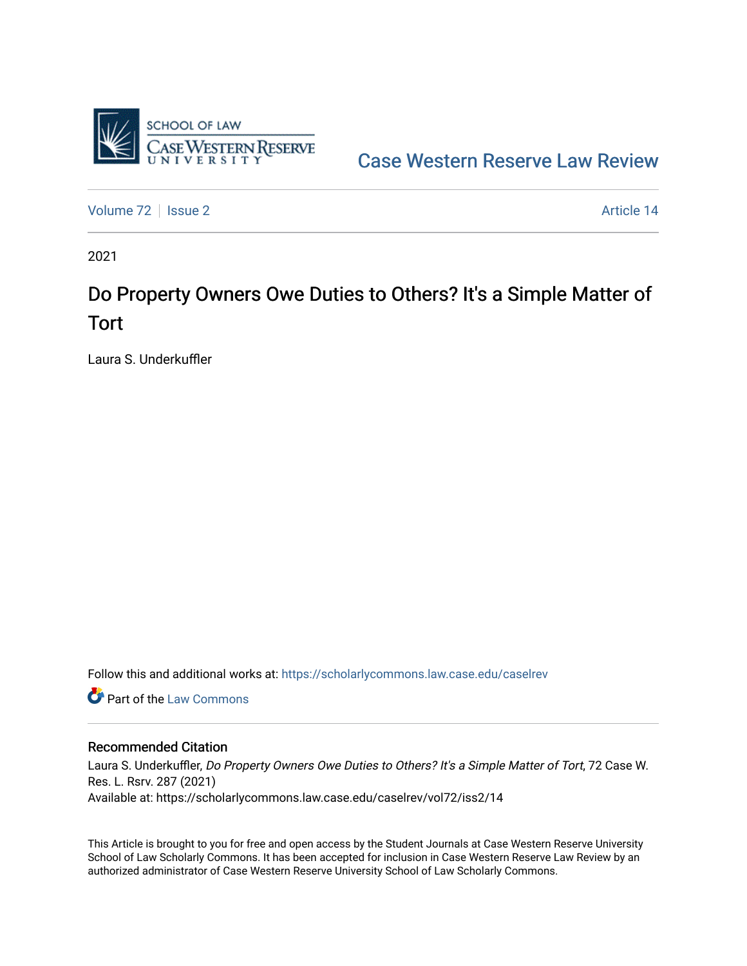

[Case Western Reserve Law Review](https://scholarlycommons.law.case.edu/caselrev) 

[Volume 72](https://scholarlycommons.law.case.edu/caselrev/vol72) | [Issue 2](https://scholarlycommons.law.case.edu/caselrev/vol72/iss2) Article 14

2021

# Do Property Owners Owe Duties to Others? It's a Simple Matter of Tort

Laura S. Underkuffler

Follow this and additional works at: [https://scholarlycommons.law.case.edu/caselrev](https://scholarlycommons.law.case.edu/caselrev?utm_source=scholarlycommons.law.case.edu%2Fcaselrev%2Fvol72%2Fiss2%2F14&utm_medium=PDF&utm_campaign=PDFCoverPages)

**C** Part of the [Law Commons](https://network.bepress.com/hgg/discipline/578?utm_source=scholarlycommons.law.case.edu%2Fcaselrev%2Fvol72%2Fiss2%2F14&utm_medium=PDF&utm_campaign=PDFCoverPages)

### Recommended Citation

Laura S. Underkuffler, Do Property Owners Owe Duties to Others? It's a Simple Matter of Tort, 72 Case W. Res. L. Rsrv. 287 (2021) Available at: https://scholarlycommons.law.case.edu/caselrev/vol72/iss2/14

This Article is brought to you for free and open access by the Student Journals at Case Western Reserve University School of Law Scholarly Commons. It has been accepted for inclusion in Case Western Reserve Law Review by an authorized administrator of Case Western Reserve University School of Law Scholarly Commons.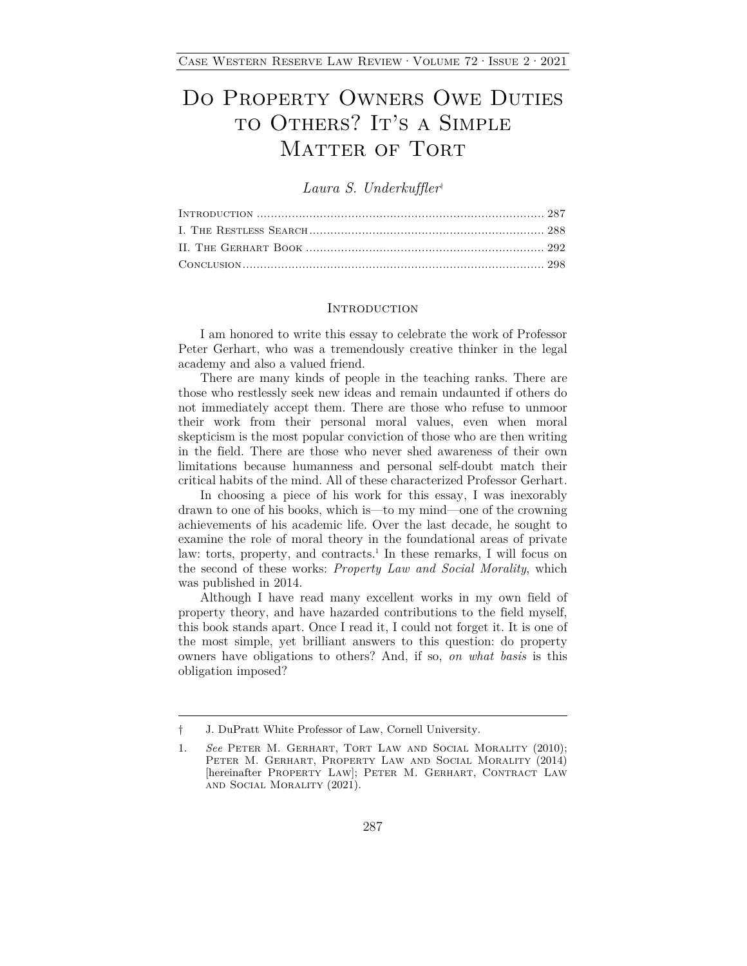# DO PROPERTY OWNERS OWE DUTIES TO OTHERS? IT'S A SIMPLE MATTER OF TORT

*Laura S. Underkuffler*†

#### **INTRODUCTION**

I am honored to write this essay to celebrate the work of Professor Peter Gerhart, who was a tremendously creative thinker in the legal academy and also a valued friend.

There are many kinds of people in the teaching ranks. There are those who restlessly seek new ideas and remain undaunted if others do not immediately accept them. There are those who refuse to unmoor their work from their personal moral values, even when moral skepticism is the most popular conviction of those who are then writing in the field. There are those who never shed awareness of their own limitations because humanness and personal self-doubt match their critical habits of the mind. All of these characterized Professor Gerhart.

In choosing a piece of his work for this essay, I was inexorably drawn to one of his books, which is—to my mind—one of the crowning achievements of his academic life. Over the last decade, he sought to examine the role of moral theory in the foundational areas of private law: torts, property, and contracts.<sup>1</sup> In these remarks, I will focus on the second of these works: *Property Law and Social Morality*, which was published in 2014.

Although I have read many excellent works in my own field of property theory, and have hazarded contributions to the field myself, this book stands apart. Once I read it, I could not forget it. It is one of the most simple, yet brilliant answers to this question: do property owners have obligations to others? And, if so, *on what basis* is this obligation imposed?

<sup>†</sup> J. DuPratt White Professor of Law, Cornell University.

<sup>1.</sup> *See* Peter M. Gerhart, Tort Law and Social Morality (2010); Peter M. Gerhart, Property Law and Social Morality (2014) [hereinafter PROPERTY LAW]; PETER M. GERHART, CONTRACT LAW and Social Morality (2021).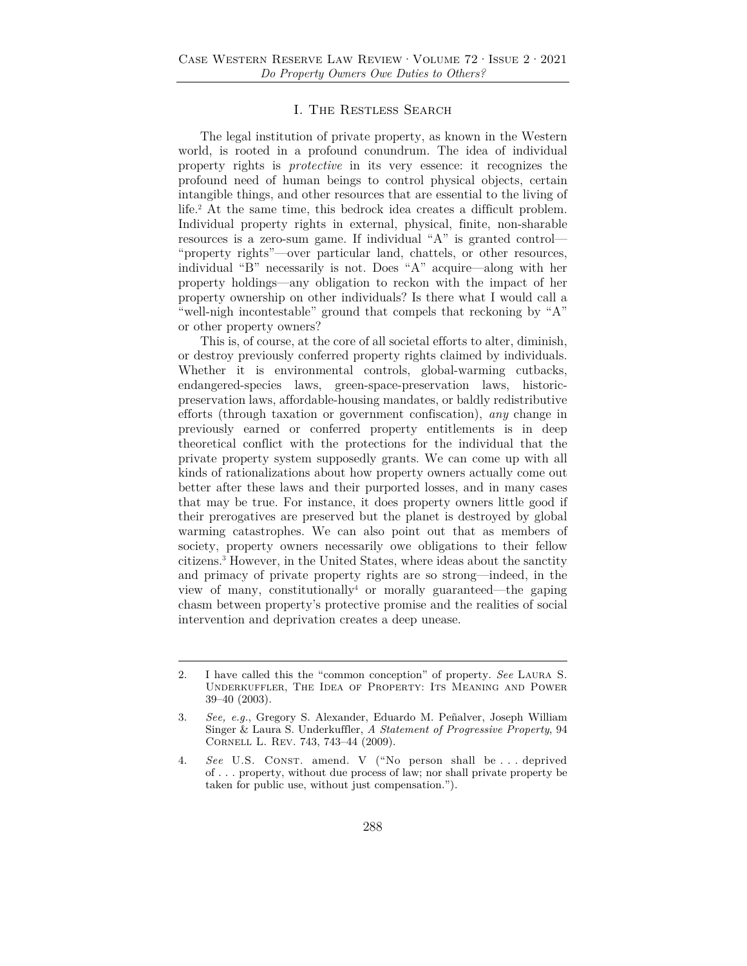#### I. The Restless Search

The legal institution of private property, as known in the Western world, is rooted in a profound conundrum. The idea of individual property rights is *protective* in its very essence: it recognizes the profound need of human beings to control physical objects, certain intangible things, and other resources that are essential to the living of life.2 At the same time, this bedrock idea creates a difficult problem. Individual property rights in external, physical, finite, non-sharable resources is a zero-sum game. If individual "A" is granted control— "property rights"—over particular land, chattels, or other resources, individual "B" necessarily is not. Does "A" acquire—along with her property holdings—any obligation to reckon with the impact of her property ownership on other individuals? Is there what I would call a "well-nigh incontestable" ground that compels that reckoning by "A" or other property owners?

This is, of course, at the core of all societal efforts to alter, diminish, or destroy previously conferred property rights claimed by individuals. Whether it is environmental controls, global-warming cutbacks, endangered-species laws, green-space-preservation laws, historicpreservation laws, affordable-housing mandates, or baldly redistributive efforts (through taxation or government confiscation), *any* change in previously earned or conferred property entitlements is in deep theoretical conflict with the protections for the individual that the private property system supposedly grants. We can come up with all kinds of rationalizations about how property owners actually come out better after these laws and their purported losses, and in many cases that may be true. For instance, it does property owners little good if their prerogatives are preserved but the planet is destroyed by global warming catastrophes. We can also point out that as members of society, property owners necessarily owe obligations to their fellow citizens.3 However, in the United States, where ideas about the sanctity and primacy of private property rights are so strong—indeed, in the view of many, constitutionally<sup>4</sup> or morally guaranteed—the gaping chasm between property's protective promise and the realities of social intervention and deprivation creates a deep unease.

<sup>2.</sup> I have called this the "common conception" of property. *See* Laura S. Underkuffler, The Idea of Property: Its Meaning and Power 39–40 (2003).

<sup>3.</sup> *See, e.g.*, Gregory S. Alexander, Eduardo M. Peñalver, Joseph William Singer & Laura S. Underkuffler, *A Statement of Progressive Property*, 94 Cornell L. Rev. 743, 743–44 (2009).

<sup>4.</sup> *See* U.S. Const. amend. V ("No person shall be . . . deprived of . . . property, without due process of law; nor shall private property be taken for public use, without just compensation.").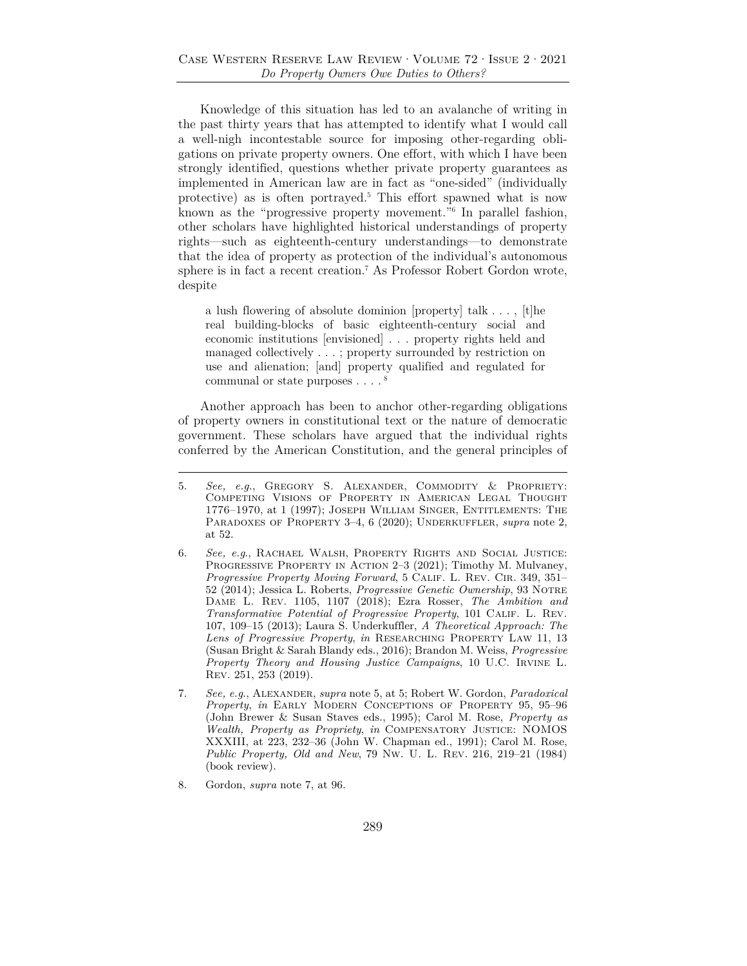Knowledge of this situation has led to an avalanche of writing in the past thirty years that has attempted to identify what I would call a well-nigh incontestable source for imposing other-regarding obligations on private property owners. One effort, with which I have been strongly identified, questions whether private property guarantees as implemented in American law are in fact as "one-sided" (individually protective) as is often portrayed.5 This effort spawned what is now known as the "progressive property movement."6 In parallel fashion, other scholars have highlighted historical understandings of property rights—such as eighteenth-century understandings—to demonstrate that the idea of property as protection of the individual's autonomous sphere is in fact a recent creation.7 As Professor Robert Gordon wrote, despite

a lush flowering of absolute dominion [property] talk . . . , [t]he real building-blocks of basic eighteenth-century social and economic institutions [envisioned] . . . property rights held and managed collectively . . . ; property surrounded by restriction on use and alienation; [and] property qualified and regulated for communal or state purposes  $\ldots$ .<sup>8</sup>

Another approach has been to anchor other-regarding obligations of property owners in constitutional text or the nature of democratic government. These scholars have argued that the individual rights conferred by the American Constitution, and the general principles of

8. Gordon, *supra* note 7, at 96.

<sup>5.</sup> *See, e.g.*, Gregory S. Alexander, Commodity & Propriety: Competing Visions of Property in American Legal Thought 1776–1970, at 1 (1997); Joseph William Singer, Entitlements: The PARADOXES OF PROPERTY 3-4, 6 (2020); UNDERKUFFLER, *supra* note 2, at 52.

<sup>6.</sup> *See, e.g*., Rachael Walsh, Property Rights and Social Justice: PROGRESSIVE PROPERTY IN ACTION 2-3 (2021); Timothy M. Mulvaney, *Progressive Property Moving Forward*, 5 CALIF. L. REV. CIR. 349, 351– 52 (2014); Jessica L. Roberts, *Progressive Genetic Ownership*, 93 Notre Dame L. Rev. 1105, 1107 (2018); Ezra Rosser, *The Ambition and Transformative Potential of Progressive Property*, 101 Calif. L. Rev. 107, 109–15 (2013); Laura S. Underkuffler, *A Theoretical Approach: The Lens of Progressive Property*, *in* Researching Property Law 11, 13 (Susan Bright & Sarah Blandy eds., 2016); Brandon M. Weiss, *Progressive Property Theory and Housing Justice Campaigns*, 10 U.C. Irvine L. Rev. 251, 253 (2019).

<sup>7.</sup> *See, e.g*., Alexander, *supra* note 5, at 5; Robert W. Gordon, *Paradoxical Property*, *in* Early Modern Conceptions of Property 95, 95–96 (John Brewer & Susan Staves eds., 1995); Carol M. Rose, *Property as Wealth, Property as Propriety*, *in* Compensatory Justice: NOMOS XXXIII, at 223, 232–36 (John W. Chapman ed., 1991); Carol M. Rose, *Public Property, Old and New*, 79 Nw. U. L. Rev. 216, 219–21 (1984) (book review).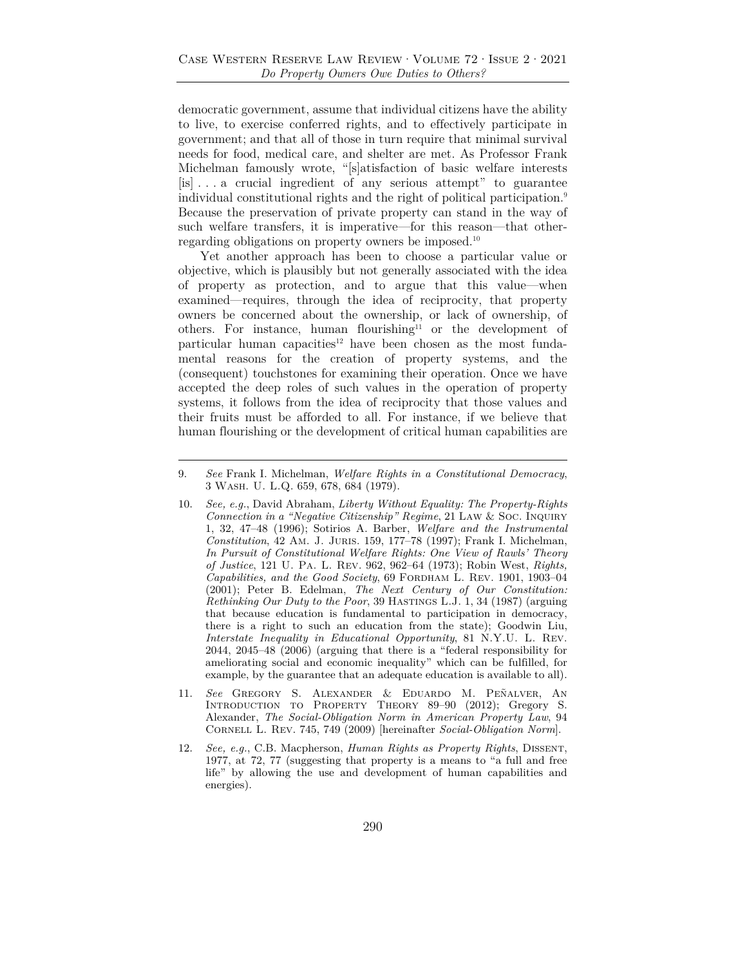democratic government, assume that individual citizens have the ability to live, to exercise conferred rights, and to effectively participate in government; and that all of those in turn require that minimal survival needs for food, medical care, and shelter are met. As Professor Frank Michelman famously wrote, "[s]atisfaction of basic welfare interests [is] . . . a crucial ingredient of any serious attempt" to guarantee individual constitutional rights and the right of political participation.<sup>9</sup> Because the preservation of private property can stand in the way of such welfare transfers, it is imperative—for this reason—that otherregarding obligations on property owners be imposed.10

Yet another approach has been to choose a particular value or objective, which is plausibly but not generally associated with the idea of property as protection, and to argue that this value—when examined—requires, through the idea of reciprocity, that property owners be concerned about the ownership, or lack of ownership, of others. For instance, human flourishing<sup>11</sup> or the development of particular human capacities<sup>12</sup> have been chosen as the most fundamental reasons for the creation of property systems, and the (consequent) touchstones for examining their operation. Once we have accepted the deep roles of such values in the operation of property systems, it follows from the idea of reciprocity that those values and their fruits must be afforded to all. For instance, if we believe that human flourishing or the development of critical human capabilities are

<sup>9.</sup> *See* Frank I. Michelman, *Welfare Rights in a Constitutional Democracy*, 3 Wash. U. L.Q. 659, 678, 684 (1979).

<sup>10.</sup> *See, e.g.*, David Abraham, *Liberty Without Equality: The Property-Rights Connection in a "Negative Citizenship" Regime*, 21 Law & Soc. Inquiry 1, 32, 47–48 (1996); Sotirios A. Barber, *Welfare and the Instrumental Constitution*, 42 Am. J. Juris. 159, 177–78 (1997); Frank I. Michelman, *In Pursuit of Constitutional Welfare Rights: One View of Rawls' Theory of Justice*, 121 U. Pa. L. Rev. 962, 962–64 (1973); Robin West, *Rights, Capabilities, and the Good Society*, 69 Fordham L. Rev. 1901, 1903–04 (2001); Peter B. Edelman, *The Next Century of Our Constitution: Rethinking Our Duty to the Poor*, 39 HASTINGS L.J. 1, 34 (1987) (arguing that because education is fundamental to participation in democracy, there is a right to such an education from the state); Goodwin Liu, *Interstate Inequality in Educational Opportunity*, 81 N.Y.U. L. Rev. 2044, 2045–48 (2006) (arguing that there is a "federal responsibility for ameliorating social and economic inequality" which can be fulfilled, for example, by the guarantee that an adequate education is available to all).

<sup>11.</sup> *See* Gregory S. Alexander & Eduardo M. Peñalver, An Introduction to Property Theory 89–90 (2012); Gregory S. Alexander, *The Social-Obligation Norm in American Property Law*, 94 Cornell L. Rev. 745, 749 (2009) [hereinafter *Social-Obligation Norm*].

<sup>12.</sup> *See, e.g.*, C.B. Macpherson, *Human Rights as Property Rights*, Dissent, 1977, at 72, 77 (suggesting that property is a means to "a full and free life" by allowing the use and development of human capabilities and energies).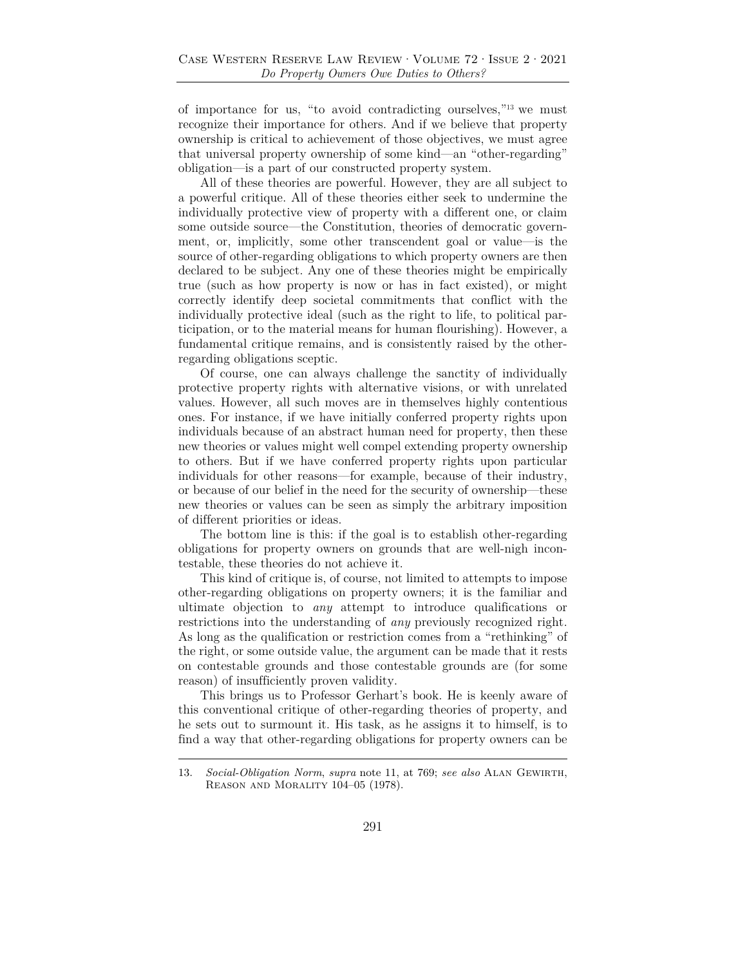of importance for us, "to avoid contradicting ourselves,"13 we must recognize their importance for others. And if we believe that property ownership is critical to achievement of those objectives, we must agree that universal property ownership of some kind—an "other-regarding" obligation—is a part of our constructed property system.

All of these theories are powerful. However, they are all subject to a powerful critique. All of these theories either seek to undermine the individually protective view of property with a different one, or claim some outside source—the Constitution, theories of democratic government, or, implicitly, some other transcendent goal or value—is the source of other-regarding obligations to which property owners are then declared to be subject. Any one of these theories might be empirically true (such as how property is now or has in fact existed), or might correctly identify deep societal commitments that conflict with the individually protective ideal (such as the right to life, to political participation, or to the material means for human flourishing). However, a fundamental critique remains, and is consistently raised by the otherregarding obligations sceptic.

Of course, one can always challenge the sanctity of individually protective property rights with alternative visions, or with unrelated values. However, all such moves are in themselves highly contentious ones. For instance, if we have initially conferred property rights upon individuals because of an abstract human need for property, then these new theories or values might well compel extending property ownership to others. But if we have conferred property rights upon particular individuals for other reasons—for example, because of their industry, or because of our belief in the need for the security of ownership—these new theories or values can be seen as simply the arbitrary imposition of different priorities or ideas.

The bottom line is this: if the goal is to establish other-regarding obligations for property owners on grounds that are well-nigh incontestable, these theories do not achieve it.

This kind of critique is, of course, not limited to attempts to impose other-regarding obligations on property owners; it is the familiar and ultimate objection to *any* attempt to introduce qualifications or restrictions into the understanding of *any* previously recognized right. As long as the qualification or restriction comes from a "rethinking" of the right, or some outside value, the argument can be made that it rests on contestable grounds and those contestable grounds are (for some reason) of insufficiently proven validity.

This brings us to Professor Gerhart's book. He is keenly aware of this conventional critique of other-regarding theories of property, and he sets out to surmount it. His task, as he assigns it to himself, is to find a way that other-regarding obligations for property owners can be

<sup>13.</sup> *Social-Obligation Norm, supra* note 11, at 769; see also ALAN GEWIRTH, Reason and Morality 104–05 (1978).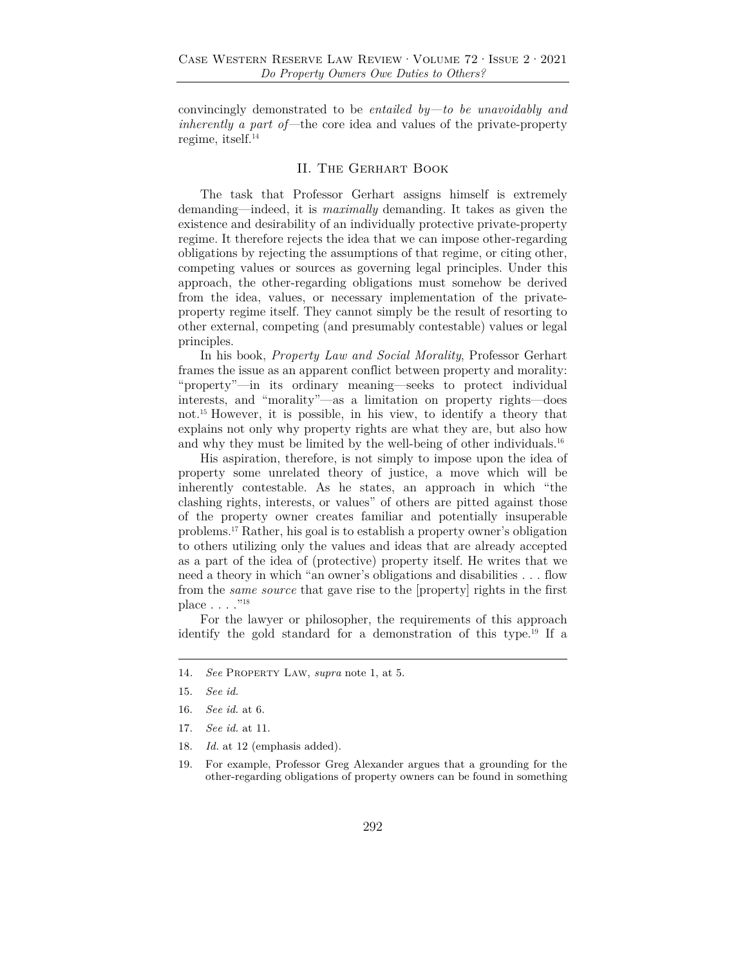convincingly demonstrated to be *entailed by—to be unavoidably and inherently a part of—*the core idea and values of the private-property regime, itself.14

### II. The Gerhart Book

The task that Professor Gerhart assigns himself is extremely demanding—indeed, it is *maximally* demanding. It takes as given the existence and desirability of an individually protective private-property regime. It therefore rejects the idea that we can impose other-regarding obligations by rejecting the assumptions of that regime, or citing other, competing values or sources as governing legal principles. Under this approach, the other-regarding obligations must somehow be derived from the idea, values, or necessary implementation of the privateproperty regime itself. They cannot simply be the result of resorting to other external, competing (and presumably contestable) values or legal principles.

In his book, *Property Law and Social Morality*, Professor Gerhart frames the issue as an apparent conflict between property and morality: "property"—in its ordinary meaning—seeks to protect individual interests, and "morality"—as a limitation on property rights—does not.15 However, it is possible, in his view, to identify a theory that explains not only why property rights are what they are, but also how and why they must be limited by the well-being of other individuals.<sup>16</sup>

His aspiration, therefore, is not simply to impose upon the idea of property some unrelated theory of justice, a move which will be inherently contestable. As he states, an approach in which "the clashing rights, interests, or values" of others are pitted against those of the property owner creates familiar and potentially insuperable problems.17 Rather, his goal is to establish a property owner's obligation to others utilizing only the values and ideas that are already accepted as a part of the idea of (protective) property itself. He writes that we need a theory in which "an owner's obligations and disabilities . . . flow from the *same source* that gave rise to the [property] rights in the first place . . . . "<sup>18</sup>

For the lawyer or philosopher, the requirements of this approach identify the gold standard for a demonstration of this type.19 If a

18. *Id.* at 12 (emphasis added).

<sup>14</sup>*. See* Property Law, *supra* note 1, at 5.

<sup>15.</sup> *See id.*

<sup>16.</sup> *See id.* at 6.

<sup>17.</sup> *See id.* at 11.

<sup>19.</sup> For example, Professor Greg Alexander argues that a grounding for the other-regarding obligations of property owners can be found in something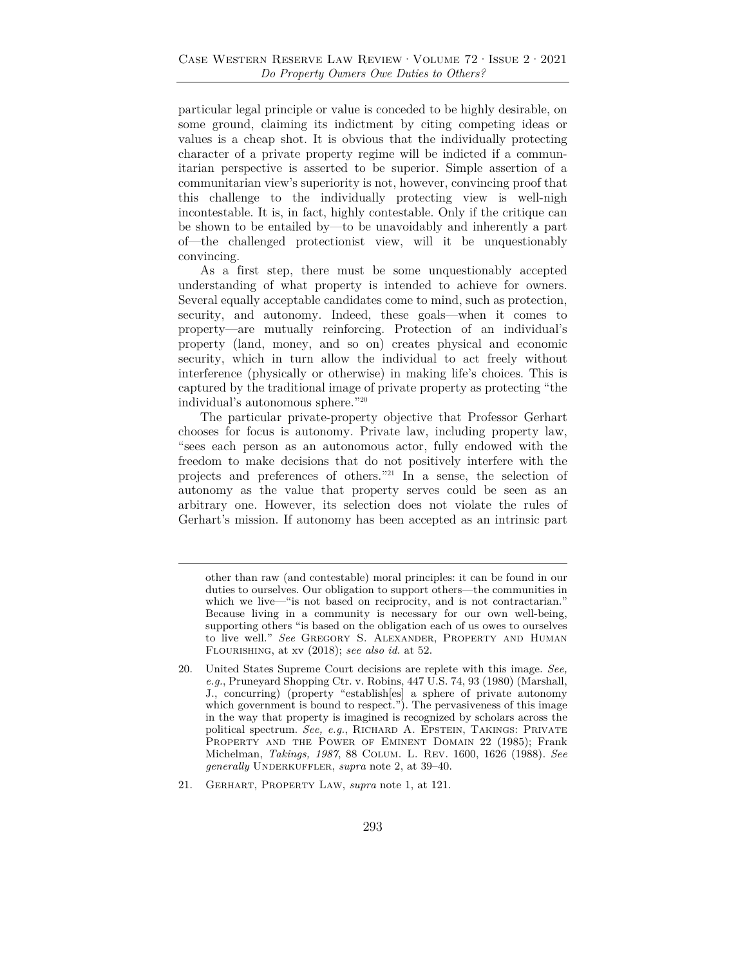particular legal principle or value is conceded to be highly desirable, on some ground, claiming its indictment by citing competing ideas or values is a cheap shot. It is obvious that the individually protecting character of a private property regime will be indicted if a communitarian perspective is asserted to be superior. Simple assertion of a communitarian view's superiority is not, however, convincing proof that this challenge to the individually protecting view is well-nigh incontestable. It is, in fact, highly contestable. Only if the critique can be shown to be entailed by—to be unavoidably and inherently a part of—the challenged protectionist view, will it be unquestionably convincing.

As a first step, there must be some unquestionably accepted understanding of what property is intended to achieve for owners. Several equally acceptable candidates come to mind, such as protection, security, and autonomy. Indeed, these goals—when it comes to property—are mutually reinforcing. Protection of an individual's property (land, money, and so on) creates physical and economic security, which in turn allow the individual to act freely without interference (physically or otherwise) in making life's choices. This is captured by the traditional image of private property as protecting "the individual's autonomous sphere."20

The particular private-property objective that Professor Gerhart chooses for focus is autonomy. Private law, including property law, "sees each person as an autonomous actor, fully endowed with the freedom to make decisions that do not positively interfere with the projects and preferences of others."21 In a sense, the selection of autonomy as the value that property serves could be seen as an arbitrary one. However, its selection does not violate the rules of Gerhart's mission. If autonomy has been accepted as an intrinsic part

other than raw (and contestable) moral principles: it can be found in our duties to ourselves. Our obligation to support others—the communities in which we live—"is not based on reciprocity, and is not contractarian." Because living in a community is necessary for our own well-being, supporting others "is based on the obligation each of us owes to ourselves to live well." *See* Gregory S. Alexander, Property and Human Flourishing, at xv (2018); *see also id.* at 52.

<sup>20.</sup> United States Supreme Court decisions are replete with this image. *See, e.g.*, Pruneyard Shopping Ctr. v. Robins, 447 U.S. 74, 93 (1980) (Marshall, J., concurring) (property "establish[es] a sphere of private autonomy which government is bound to respect."). The pervasiveness of this image in the way that property is imagined is recognized by scholars across the political spectrum. *See, e.g.*, RICHARD A. EPSTEIN, TAKINGS: PRIVATE PROPERTY AND THE POWER OF EMINENT DOMAIN 22 (1985); Frank Michelman, *Takings, 1987*, 88 Colum. L. Rev. 1600, 1626 (1988). *See generally* UNDERKUFFLER, *supra* note 2, at 39–40.

<sup>21.</sup> Gerhart, Property Law, *supra* note 1, at 121.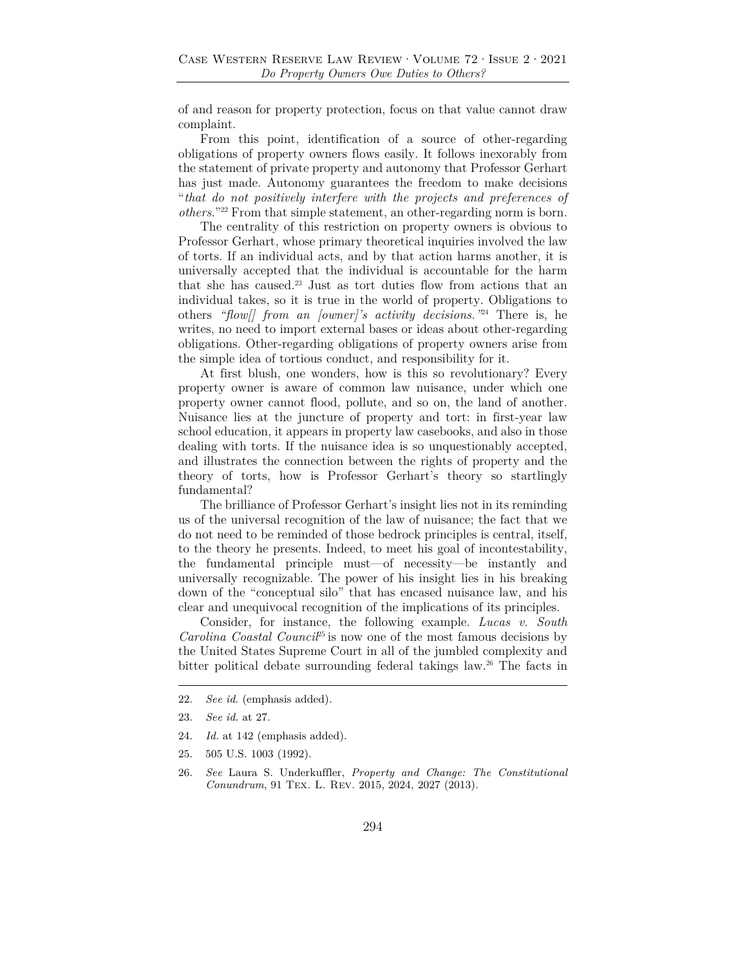of and reason for property protection, focus on that value cannot draw complaint.

From this point, identification of a source of other-regarding obligations of property owners flows easily. It follows inexorably from the statement of private property and autonomy that Professor Gerhart has just made. Autonomy guarantees the freedom to make decisions "*that do not positively interfere with the projects and preferences of others*."22 From that simple statement, an other-regarding norm is born.

The centrality of this restriction on property owners is obvious to Professor Gerhart, whose primary theoretical inquiries involved the law of torts. If an individual acts, and by that action harms another, it is universally accepted that the individual is accountable for the harm that she has caused.23 Just as tort duties flow from actions that an individual takes, so it is true in the world of property. Obligations to others *"flow[] from an [owner]'s activity decisions."*<sup>24</sup> There is, he writes, no need to import external bases or ideas about other-regarding obligations. Other-regarding obligations of property owners arise from the simple idea of tortious conduct, and responsibility for it.

At first blush, one wonders, how is this so revolutionary? Every property owner is aware of common law nuisance, under which one property owner cannot flood, pollute, and so on, the land of another. Nuisance lies at the juncture of property and tort: in first-year law school education, it appears in property law casebooks, and also in those dealing with torts. If the nuisance idea is so unquestionably accepted, and illustrates the connection between the rights of property and the theory of torts, how is Professor Gerhart's theory so startlingly fundamental?

The brilliance of Professor Gerhart's insight lies not in its reminding us of the universal recognition of the law of nuisance; the fact that we do not need to be reminded of those bedrock principles is central, itself, to the theory he presents. Indeed, to meet his goal of incontestability, the fundamental principle must—of necessity—be instantly and universally recognizable. The power of his insight lies in his breaking down of the "conceptual silo" that has encased nuisance law, and his clear and unequivocal recognition of the implications of its principles.

Consider, for instance, the following example. *Lucas v. South Carolina Coastal Council*<sup>25</sup> is now one of the most famous decisions by the United States Supreme Court in all of the jumbled complexity and bitter political debate surrounding federal takings law.26 The facts in

- 24. *Id.* at 142 (emphasis added).
- 25. 505 U.S. 1003 (1992).
- 26. *See* Laura S. Underkuffler, *Property and Change: The Constitutional Conundrum*, 91 Tex. L. Rev. 2015, 2024, 2027 (2013).

<sup>22.</sup> *See id.* (emphasis added).

<sup>23.</sup> *See id.* at 27.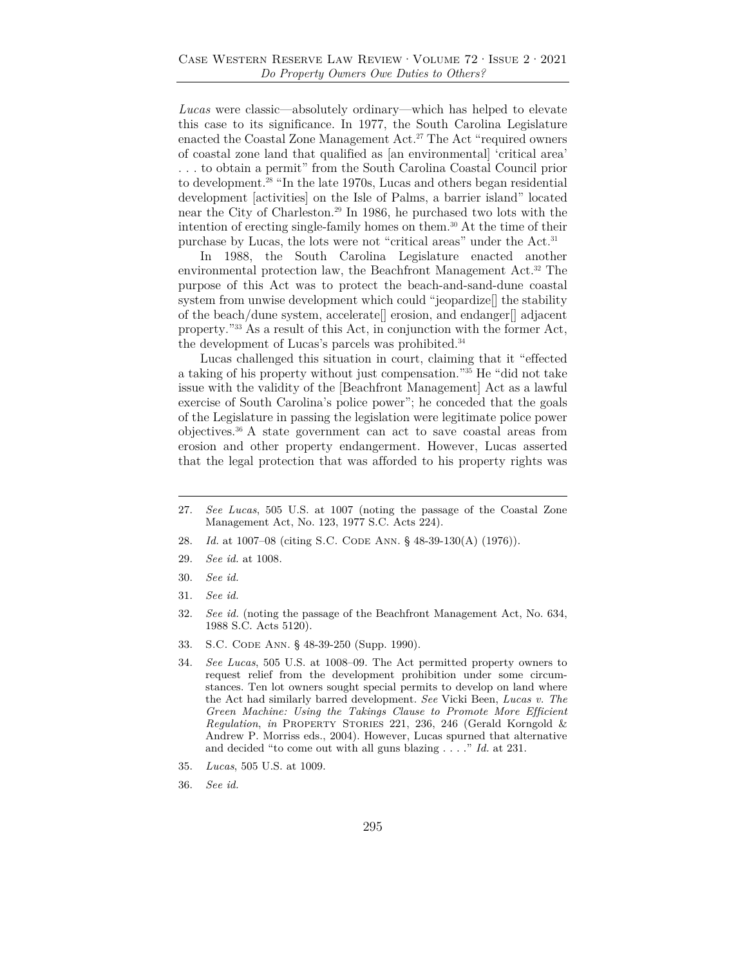*Lucas* were classic—absolutely ordinary—which has helped to elevate this case to its significance. In 1977, the South Carolina Legislature enacted the Coastal Zone Management Act.27 The Act "required owners of coastal zone land that qualified as [an environmental] 'critical area' . . . to obtain a permit" from the South Carolina Coastal Council prior to development.28 "In the late 1970s, Lucas and others began residential development [activities] on the Isle of Palms, a barrier island" located near the City of Charleston.29 In 1986, he purchased two lots with the intention of erecting single-family homes on them.30 At the time of their purchase by Lucas, the lots were not "critical areas" under the Act.31

In 1988, the South Carolina Legislature enacted another environmental protection law, the Beachfront Management Act.32 The purpose of this Act was to protect the beach-and-sand-dune coastal system from unwise development which could "jeopardize[] the stability of the beach/dune system, accelerate[] erosion, and endanger[] adjacent property."<sup>33</sup> As a result of this Act, in conjunction with the former Act, the development of Lucas's parcels was prohibited.<sup>34</sup>

Lucas challenged this situation in court, claiming that it "effected a taking of his property without just compensation."35 He "did not take issue with the validity of the [Beachfront Management] Act as a lawful exercise of South Carolina's police power"; he conceded that the goals of the Legislature in passing the legislation were legitimate police power objectives.36 A state government can act to save coastal areas from erosion and other property endangerment. However, Lucas asserted that the legal protection that was afforded to his property rights was

- 27. *See Lucas*, 505 U.S. at 1007 (noting the passage of the Coastal Zone Management Act, No. 123, 1977 S.C. Acts 224).
- 28. *Id.* at 1007–08 (citing S.C. CODE ANN. § 48-39-130(A) (1976)).
- 29. *See id.* at 1008.
- 30. *See id.*
- 31. *See id.*
- 32. *See id.* (noting the passage of the Beachfront Management Act, No. 634, 1988 S.C. Acts 5120).
- 33. S.C. Code Ann. § 48-39-250 (Supp. 1990).
- 34. *See Lucas*, 505 U.S. at 1008–09. The Act permitted property owners to request relief from the development prohibition under some circumstances. Ten lot owners sought special permits to develop on land where the Act had similarly barred development. *See* Vicki Been, *Lucas v. The Green Machine: Using the Takings Clause to Promote More Efficient Regulation*, *in* Property Stories 221, 236, 246 (Gerald Korngold & Andrew P. Morriss eds., 2004). However, Lucas spurned that alternative and decided "to come out with all guns blazing . . . ." *Id.* at 231.
- 35. *Lucas*, 505 U.S. at 1009.
- 36. *See id.*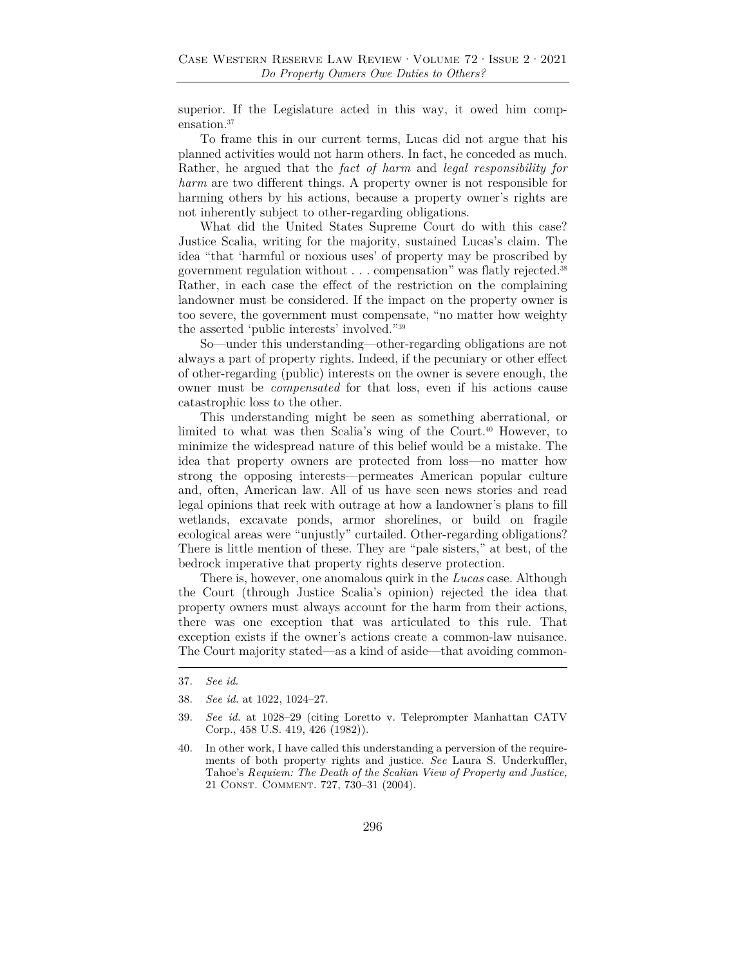superior. If the Legislature acted in this way, it owed him compensation.<sup>37</sup>

To frame this in our current terms, Lucas did not argue that his planned activities would not harm others. In fact, he conceded as much. Rather, he argued that the *fact of harm* and *legal responsibility for harm* are two different things. A property owner is not responsible for harming others by his actions, because a property owner's rights are not inherently subject to other-regarding obligations.

What did the United States Supreme Court do with this case? Justice Scalia, writing for the majority, sustained Lucas's claim. The idea "that 'harmful or noxious uses' of property may be proscribed by government regulation without . . . compensation" was flatly rejected.38 Rather, in each case the effect of the restriction on the complaining landowner must be considered. If the impact on the property owner is too severe, the government must compensate, "no matter how weighty the asserted 'public interests' involved."39

So—under this understanding—other-regarding obligations are not always a part of property rights. Indeed, if the pecuniary or other effect of other-regarding (public) interests on the owner is severe enough, the owner must be *compensated* for that loss, even if his actions cause catastrophic loss to the other.

This understanding might be seen as something aberrational, or limited to what was then Scalia's wing of the Court.<sup>40</sup> However, to minimize the widespread nature of this belief would be a mistake. The idea that property owners are protected from loss—no matter how strong the opposing interests—permeates American popular culture and, often, American law. All of us have seen news stories and read legal opinions that reek with outrage at how a landowner's plans to fill wetlands, excavate ponds, armor shorelines, or build on fragile ecological areas were "unjustly" curtailed. Other-regarding obligations? There is little mention of these. They are "pale sisters," at best, of the bedrock imperative that property rights deserve protection.

There is, however, one anomalous quirk in the *Lucas* case. Although the Court (through Justice Scalia's opinion) rejected the idea that property owners must always account for the harm from their actions, there was one exception that was articulated to this rule. That exception exists if the owner's actions create a common-law nuisance. The Court majority stated—as a kind of aside—that avoiding common-

<sup>37.</sup> *See id.*

<sup>38.</sup> *See id.* at 1022, 1024–27.

<sup>39.</sup> *See id.* at 1028–29 (citing Loretto v. Teleprompter Manhattan CATV Corp., 458 U.S. 419, 426 (1982)).

<sup>40.</sup> In other work, I have called this understanding a perversion of the requirements of both property rights and justice. *See* Laura S. Underkuffler, Tahoe's *Requiem: The Death of the Scalian View of Property and Justice,*  21 Const. Comment. 727, 730–31 (2004).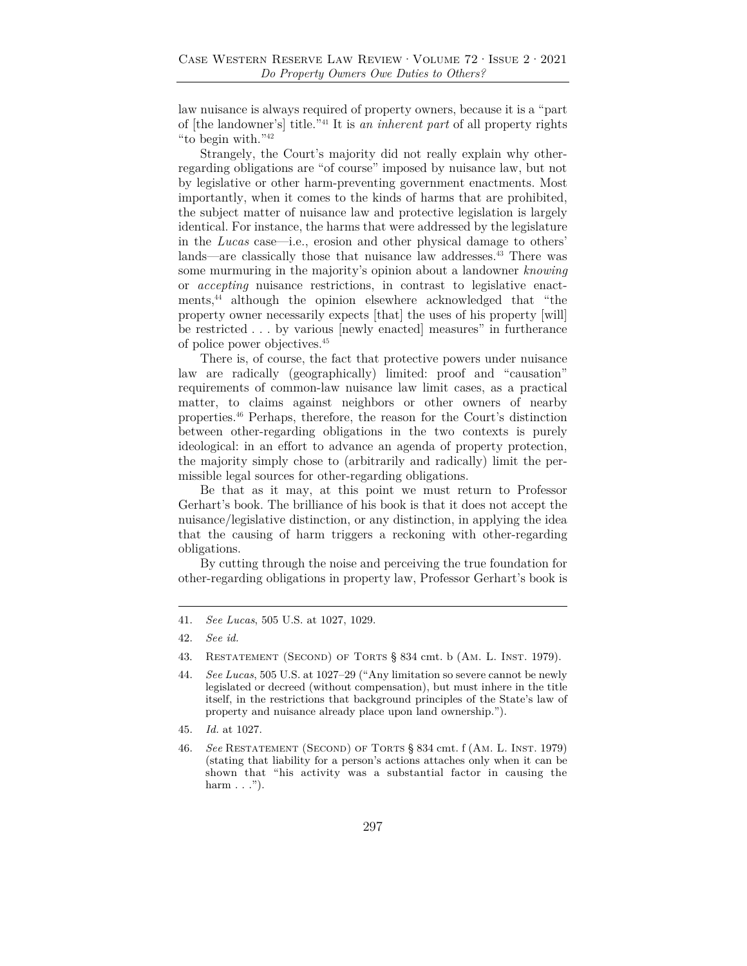law nuisance is always required of property owners, because it is a "part of [the landowner's] title."41 It is *an inherent part* of all property rights "to begin with."42

Strangely, the Court's majority did not really explain why otherregarding obligations are "of course" imposed by nuisance law, but not by legislative or other harm-preventing government enactments. Most importantly, when it comes to the kinds of harms that are prohibited, the subject matter of nuisance law and protective legislation is largely identical. For instance, the harms that were addressed by the legislature in the *Lucas* case—i.e., erosion and other physical damage to others' lands—are classically those that nuisance law addresses.43 There was some murmuring in the majority's opinion about a landowner *knowing* or *accepting* nuisance restrictions, in contrast to legislative enactments,44 although the opinion elsewhere acknowledged that "the property owner necessarily expects [that] the uses of his property [will] be restricted . . . by various [newly enacted] measures" in furtherance of police power objectives.45

There is, of course, the fact that protective powers under nuisance law are radically (geographically) limited: proof and "causation" requirements of common-law nuisance law limit cases, as a practical matter, to claims against neighbors or other owners of nearby properties.46 Perhaps, therefore, the reason for the Court's distinction between other-regarding obligations in the two contexts is purely ideological: in an effort to advance an agenda of property protection, the majority simply chose to (arbitrarily and radically) limit the permissible legal sources for other-regarding obligations.

Be that as it may, at this point we must return to Professor Gerhart's book. The brilliance of his book is that it does not accept the nuisance/legislative distinction, or any distinction, in applying the idea that the causing of harm triggers a reckoning with other-regarding obligations.

By cutting through the noise and perceiving the true foundation for other-regarding obligations in property law, Professor Gerhart's book is

<sup>41.</sup> *See Lucas*, 505 U.S. at 1027, 1029.

<sup>42.</sup> *See id.*

<sup>43.</sup> RESTATEMENT (SECOND) OF TORTS § 834 cmt. b (AM. L. INST. 1979).

<sup>44.</sup> *See Lucas*, 505 U.S. at 1027–29 ("Any limitation so severe cannot be newly legislated or decreed (without compensation), but must inhere in the title itself, in the restrictions that background principles of the State's law of property and nuisance already place upon land ownership.").

<sup>45.</sup> *Id.* at 1027.

<sup>46.</sup> *See* Restatement (Second) of Torts § 834 cmt. f (Am. L. Inst. 1979) (stating that liability for a person's actions attaches only when it can be shown that "his activity was a substantial factor in causing the harm  $\ldots$ ").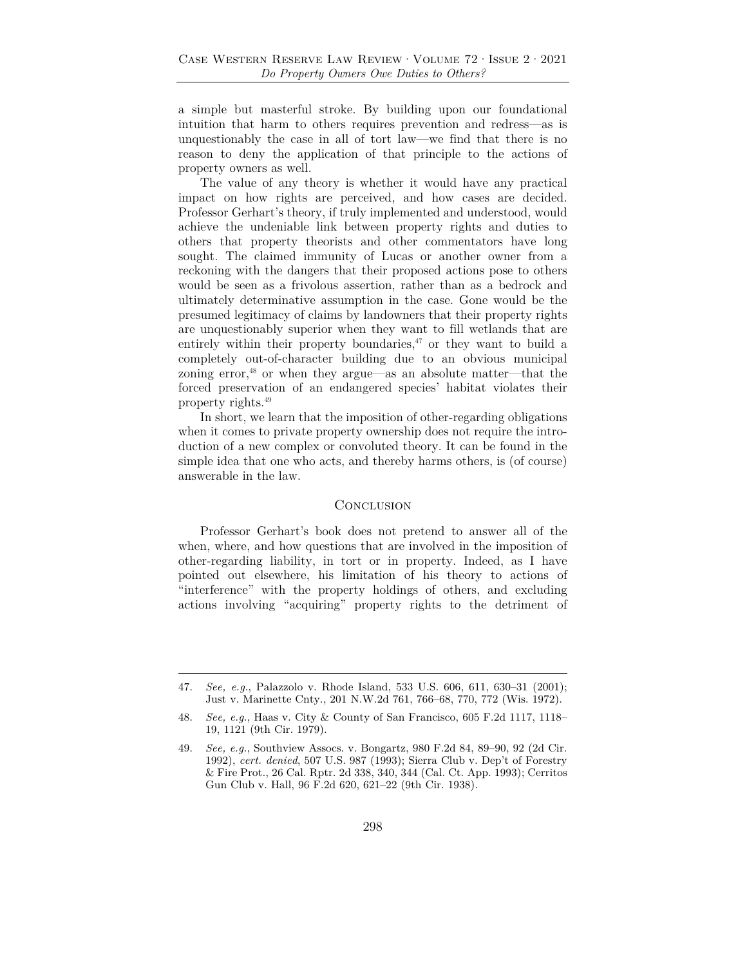a simple but masterful stroke. By building upon our foundational intuition that harm to others requires prevention and redress—as is unquestionably the case in all of tort law—we find that there is no reason to deny the application of that principle to the actions of property owners as well.

The value of any theory is whether it would have any practical impact on how rights are perceived, and how cases are decided. Professor Gerhart's theory, if truly implemented and understood, would achieve the undeniable link between property rights and duties to others that property theorists and other commentators have long sought. The claimed immunity of Lucas or another owner from a reckoning with the dangers that their proposed actions pose to others would be seen as a frivolous assertion, rather than as a bedrock and ultimately determinative assumption in the case. Gone would be the presumed legitimacy of claims by landowners that their property rights are unquestionably superior when they want to fill wetlands that are entirely within their property boundaries, $47$  or they want to build a completely out-of-character building due to an obvious municipal zoning error,48 or when they argue—as an absolute matter—that the forced preservation of an endangered species' habitat violates their property rights.49

In short, we learn that the imposition of other-regarding obligations when it comes to private property ownership does not require the introduction of a new complex or convoluted theory. It can be found in the simple idea that one who acts, and thereby harms others, is (of course) answerable in the law.

#### **CONCLUSION**

Professor Gerhart's book does not pretend to answer all of the when, where, and how questions that are involved in the imposition of other-regarding liability, in tort or in property. Indeed, as I have pointed out elsewhere, his limitation of his theory to actions of "interference" with the property holdings of others, and excluding actions involving "acquiring" property rights to the detriment of

<sup>47.</sup> *See, e.g.*, Palazzolo v. Rhode Island, 533 U.S. 606, 611, 630–31 (2001); Just v. Marinette Cnty., 201 N.W.2d 761, 766–68, 770, 772 (Wis. 1972).

<sup>48.</sup> *See, e.g.*, Haas v. City & County of San Francisco, 605 F.2d 1117, 1118– 19, 1121 (9th Cir. 1979).

<sup>49.</sup> *See, e.g.*, Southview Assocs. v. Bongartz, 980 F.2d 84, 89–90, 92 (2d Cir. 1992), *cert. denied*, 507 U.S. 987 (1993); Sierra Club v. Dep't of Forestry & Fire Prot., 26 Cal. Rptr. 2d 338, 340, 344 (Cal. Ct. App. 1993); Cerritos Gun Club v. Hall, 96 F.2d 620, 621–22 (9th Cir. 1938).